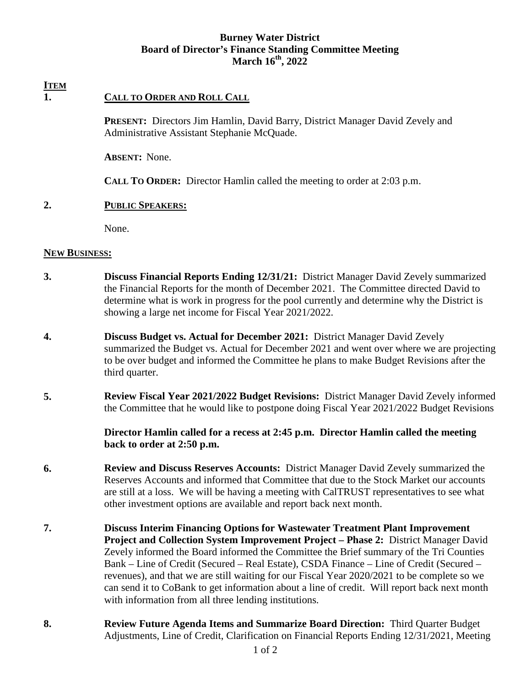### **Burney Water District Board of Director's Finance Standing Committee Meeting March 16th, 2022**

# **ITEM**

## **1. CALL TO ORDER AND ROLL CALL**

**PRESENT:** Directors Jim Hamlin, David Barry, District Manager David Zevely and Administrative Assistant Stephanie McQuade.

**ABSENT:** None.

**CALL TO ORDER:** Director Hamlin called the meeting to order at 2:03 p.m.

### **2. PUBLIC SPEAKERS:**

None.

### **NEW BUSINESS:**

- **3. Discuss Financial Reports Ending 12/31/21:** District Manager David Zevely summarized the Financial Reports for the month of December 2021. The Committee directed David to determine what is work in progress for the pool currently and determine why the District is showing a large net income for Fiscal Year 2021/2022.
- **4. Discuss Budget vs. Actual for December 2021:** District Manager David Zevely summarized the Budget vs. Actual for December 2021 and went over where we are projecting to be over budget and informed the Committee he plans to make Budget Revisions after the third quarter.
- **5. Review Fiscal Year 2021/2022 Budget Revisions:** District Manager David Zevely informed the Committee that he would like to postpone doing Fiscal Year 2021/2022 Budget Revisions

 **Director Hamlin called for a recess at 2:45 p.m. Director Hamlin called the meeting back to order at 2:50 p.m.** 

- **6. Review and Discuss Reserves Accounts:** District Manager David Zevely summarized the Reserves Accounts and informed that Committee that due to the Stock Market our accounts are still at a loss. We will be having a meeting with CalTRUST representatives to see what other investment options are available and report back next month.
- **7. Discuss Interim Financing Options for Wastewater Treatment Plant Improvement Project and Collection System Improvement Project – Phase 2:** District Manager David Zevely informed the Board informed the Committee the Brief summary of the Tri Counties Bank – Line of Credit (Secured – Real Estate), CSDA Finance – Line of Credit (Secured – revenues), and that we are still waiting for our Fiscal Year 2020/2021 to be complete so we can send it to CoBank to get information about a line of credit. Will report back next month with information from all three lending institutions.
- **8. Review Future Agenda Items and Summarize Board Direction:** Third Quarter Budget Adjustments, Line of Credit, Clarification on Financial Reports Ending 12/31/2021, Meeting